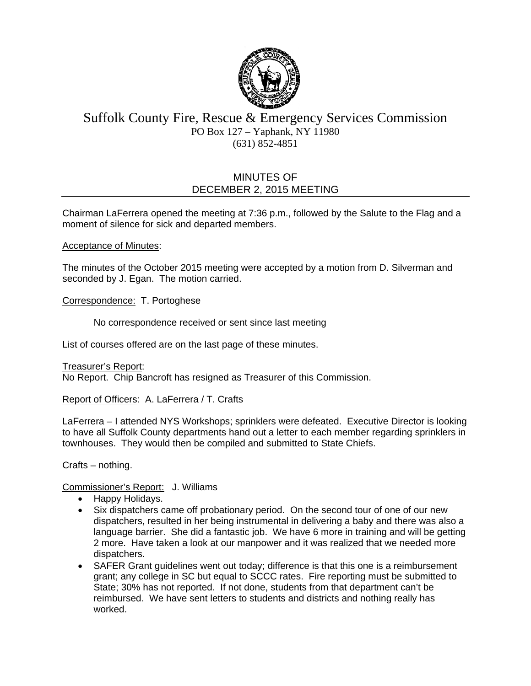

# Suffolk County Fire, Rescue & Emergency Services Commission PO Box 127 – Yaphank, NY 11980 (631) 852-4851

# MINUTES OF DECEMBER 2, 2015 MEETING

Chairman LaFerrera opened the meeting at 7:36 p.m., followed by the Salute to the Flag and a moment of silence for sick and departed members.

#### Acceptance of Minutes:

The minutes of the October 2015 meeting were accepted by a motion from D. Silverman and seconded by J. Egan. The motion carried.

Correspondence: T. Portoghese

No correspondence received or sent since last meeting

List of courses offered are on the last page of these minutes.

Treasurer's Report: No Report. Chip Bancroft has resigned as Treasurer of this Commission.

Report of Officers: A. LaFerrera / T. Crafts

LaFerrera – I attended NYS Workshops; sprinklers were defeated. Executive Director is looking to have all Suffolk County departments hand out a letter to each member regarding sprinklers in townhouses. They would then be compiled and submitted to State Chiefs.

Crafts – nothing.

Commissioner's Report: J. Williams

- Happy Holidays.
- Six dispatchers came off probationary period. On the second tour of one of our new dispatchers, resulted in her being instrumental in delivering a baby and there was also a language barrier. She did a fantastic job. We have 6 more in training and will be getting 2 more. Have taken a look at our manpower and it was realized that we needed more dispatchers.
- SAFER Grant guidelines went out today; difference is that this one is a reimbursement grant; any college in SC but equal to SCCC rates. Fire reporting must be submitted to State; 30% has not reported. If not done, students from that department can't be reimbursed. We have sent letters to students and districts and nothing really has worked.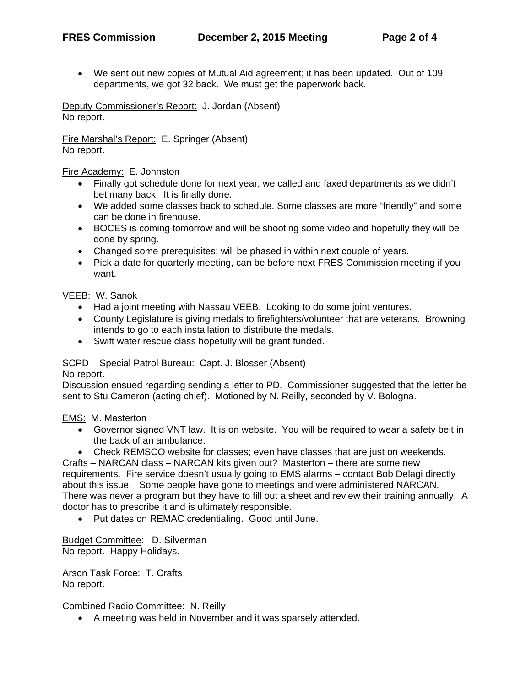We sent out new copies of Mutual Aid agreement; it has been updated. Out of 109 departments, we got 32 back. We must get the paperwork back.

Deputy Commissioner's Report: J. Jordan (Absent) No report.

Fire Marshal's Report: E. Springer (Absent) No report.

Fire Academy: E. Johnston

- Finally got schedule done for next year; we called and faxed departments as we didn't bet many back. It is finally done.
- We added some classes back to schedule. Some classes are more "friendly" and some can be done in firehouse.
- BOCES is coming tomorrow and will be shooting some video and hopefully they will be done by spring.
- Changed some prerequisites; will be phased in within next couple of years.
- Pick a date for quarterly meeting, can be before next FRES Commission meeting if you want.

VEEB: W. Sanok

- Had a joint meeting with Nassau VEEB. Looking to do some joint ventures.
- County Legislature is giving medals to firefighters/volunteer that are veterans. Browning intends to go to each installation to distribute the medals.
- Swift water rescue class hopefully will be grant funded.

#### SCPD – Special Patrol Bureau: Capt. J. Blosser (Absent)

No report.

Discussion ensued regarding sending a letter to PD. Commissioner suggested that the letter be sent to Stu Cameron (acting chief). Motioned by N. Reilly, seconded by V. Bologna.

EMS: M. Masterton

- Governor signed VNT law. It is on website. You will be required to wear a safety belt in the back of an ambulance.
- Check REMSCO website for classes; even have classes that are just on weekends.

Crafts – NARCAN class – NARCAN kits given out? Masterton – there are some new requirements. Fire service doesn't usually going to EMS alarms – contact Bob Delagi directly about this issue. Some people have gone to meetings and were administered NARCAN. There was never a program but they have to fill out a sheet and review their training annually. A doctor has to prescribe it and is ultimately responsible.

Put dates on REMAC credentialing. Good until June.

Budget Committee: D. Silverman No report. Happy Holidays.

Arson Task Force: T. Crafts No report.

Combined Radio Committee: N. Reilly

A meeting was held in November and it was sparsely attended.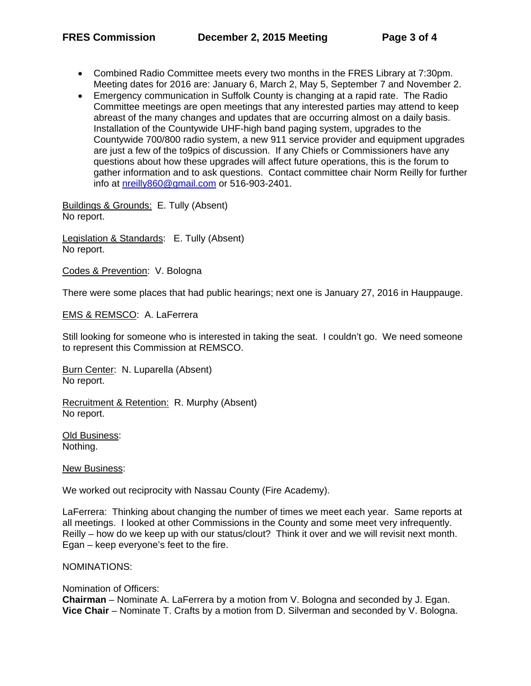- Combined Radio Committee meets every two months in the FRES Library at 7:30pm. Meeting dates for 2016 are: January 6, March 2, May 5, September 7 and November 2.
- Emergency communication in Suffolk County is changing at a rapid rate. The Radio Committee meetings are open meetings that any interested parties may attend to keep abreast of the many changes and updates that are occurring almost on a daily basis. Installation of the Countywide UHF-high band paging system, upgrades to the Countywide 700/800 radio system, a new 911 service provider and equipment upgrades are just a few of the to9pics of discussion. If any Chiefs or Commissioners have any questions about how these upgrades will affect future operations, this is the forum to gather information and to ask questions. Contact committee chair Norm Reilly for further info at nreilly860@gmail.com or 516-903-2401.

Buildings & Grounds: E. Tully (Absent) No report.

Legislation & Standards: E. Tully (Absent) No report.

Codes & Prevention: V. Bologna

There were some places that had public hearings; next one is January 27, 2016 in Hauppauge.

EMS & REMSCO: A. LaFerrera

Still looking for someone who is interested in taking the seat. I couldn't go. We need someone to represent this Commission at REMSCO.

Burn Center: N. Luparella (Absent) No report.

Recruitment & Retention: R. Murphy (Absent) No report.

Old Business: Nothing.

New Business:

We worked out reciprocity with Nassau County (Fire Academy).

LaFerrera: Thinking about changing the number of times we meet each year. Same reports at all meetings. I looked at other Commissions in the County and some meet very infrequently. Reilly – how do we keep up with our status/clout? Think it over and we will revisit next month. Egan – keep everyone's feet to the fire.

NOMINATIONS:

Nomination of Officers: **Chairman** – Nominate A. LaFerrera by a motion from V. Bologna and seconded by J. Egan. **Vice Chair** – Nominate T. Crafts by a motion from D. Silverman and seconded by V. Bologna.